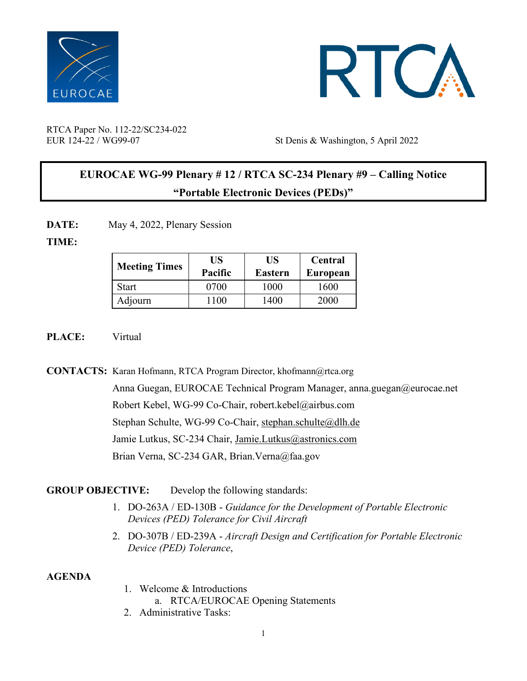



RTCA Paper No. 112-22/SC234-022

EUR 124-22 / WG99-07 St Denis & Washington, 5 April 2022

# **EUROCAE WG-99 Plenary # 12 / RTCA SC-234 Plenary #9 – Calling Notice "Portable Electronic Devices (PEDs)"**

DATE: May 4, 2022, Plenary Session

### **TIME:**

| <b>Meeting Times</b> | US<br>Pacific | US<br>Eastern | Central<br>European |
|----------------------|---------------|---------------|---------------------|
| Start                | 0700          | 1000          | 1600                |
| Adjourn              | 1100          | 1400          | 2000                |

### **PLACE:** Virtual

**CONTACTS:** Karan Hofmann, RTCA Program Director, [khofmann@rtca.org](about:blank)

Anna Guegan, EUROCAE Technical Program Manager, anna.guegan@eurocae.net Robert Kebel, WG-99 Co-Chair, robert.kebel@airbus.com Stephan Schulte, WG-99 Co-Chair, [stephan.schulte@dlh.de](mailto:stephan.schulte@dlh.de) Jamie Lutkus, SC-234 Chair, [Jamie.Lutkus@astronics.com](mailto:Jamie.Lutkus@astronics.com) Brian Verna, SC-234 GAR, [Brian.Verna@faa.gov](mailto:Thomas.Mustach@faa.gov)

# **GROUP OBJECTIVE:** Develop the following standards:

- 1. DO-263A / ED-130B *Guidance for the Development of Portable Electronic Devices (PED) Tolerance for Civil Aircraft*
- 2. DO-307B / ED-239A *Aircraft Design and Certification for Portable Electronic Device (PED) Tolerance*,

# **AGENDA**

- 1. Welcome & Introductions a. RTCA/EUROCAE Opening Statements
- 2. Administrative Tasks: